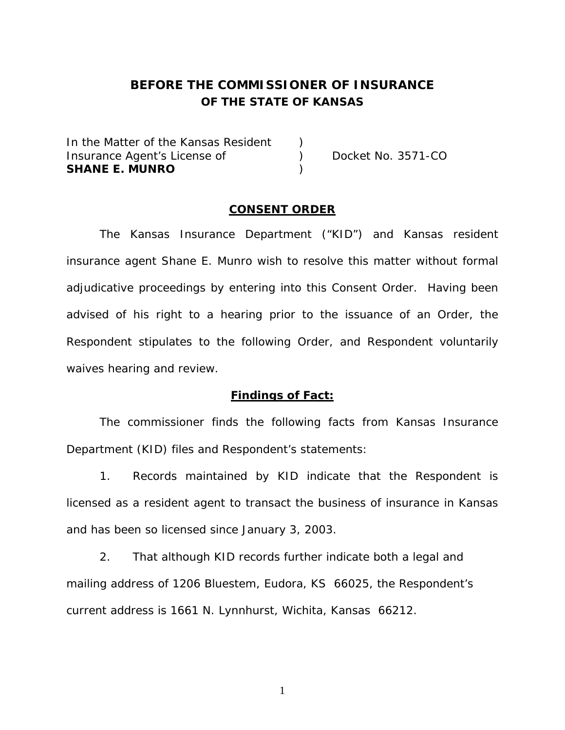# **BEFORE THE COMMISSIONER OF INSURANCE OF THE STATE OF KANSAS**

In the Matter of the Kansas Resident Insurance Agent's License of (a) Docket No. 3571-CO **SHANE E. MUNRO** )

## **CONSENT ORDER**

 The Kansas Insurance Department ("KID") and Kansas resident insurance agent Shane E. Munro wish to resolve this matter without formal adjudicative proceedings by entering into this Consent Order. Having been advised of his right to a hearing prior to the issuance of an Order, the Respondent stipulates to the following Order, and Respondent voluntarily waives hearing and review.

## **Findings of Fact:**

 The commissioner finds the following facts from Kansas Insurance Department (KID) files and Respondent's statements:

 1. Records maintained by KID indicate that the Respondent is licensed as a resident agent to transact the business of insurance in Kansas and has been so licensed since January 3, 2003.

 2. That although KID records further indicate both a legal and mailing address of 1206 Bluestem, Eudora, KS 66025, the Respondent's current address is 1661 N. Lynnhurst, Wichita, Kansas 66212.

1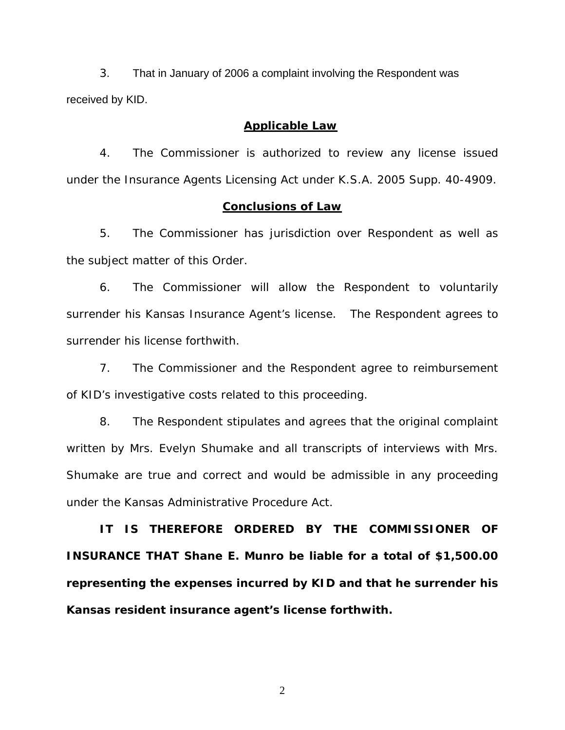3. That in January of 2006 a complaint involving the Respondent was received by KID.

### **Applicable Law**

 4. The Commissioner is authorized to review any license issued under the Insurance Agents Licensing Act under K.S.A. 2005 Supp. 40-4909.

### **Conclusions of Law**

 5. The Commissioner has jurisdiction over Respondent as well as the subject matter of this Order.

 6. The Commissioner will allow the Respondent to voluntarily surrender his Kansas Insurance Agent's license. The Respondent agrees to surrender his license forthwith.

 7. The Commissioner and the Respondent agree to reimbursement of KID's investigative costs related to this proceeding.

 8. The Respondent stipulates and agrees that the original complaint written by Mrs. Evelyn Shumake and all transcripts of interviews with Mrs. Shumake are true and correct and would be admissible in any proceeding under the Kansas Administrative Procedure Act.

 **IT IS THEREFORE ORDERED BY THE COMMISSIONER OF INSURANCE THAT Shane E. Munro be liable for a total of \$1,500.00 representing the expenses incurred by KID and that he surrender his Kansas resident insurance agent's license forthwith.** 

2